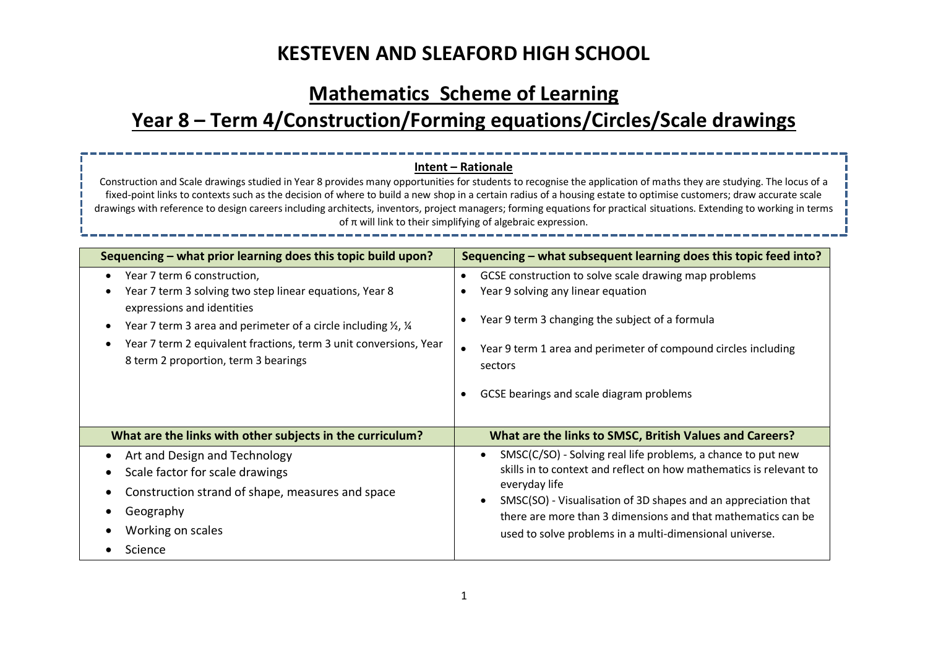### **Mathematics Scheme of Learning**

# **Year 8 – Term 4/Construction/Forming equations/Circles/Scale drawings**

### **Intent – Rationale**

Construction and Scale drawings studied in Year 8 provides many opportunities for students to recognise the application of maths they are studying. The locus of a fixed-point links to contexts such as the decision of where to build a new shop in a certain radius of a housing estate to optimise customers; draw accurate scale drawings with reference to design careers including architects, inventors, project managers; forming equations for practical situations. Extending to working in terms of π will link to their simplifying of algebraic expression.

| Sequencing – what prior learning does this topic build upon?                         | Sequencing – what subsequent learning does this topic feed into?   |
|--------------------------------------------------------------------------------------|--------------------------------------------------------------------|
| Year 7 term 6 construction,                                                          | GCSE construction to solve scale drawing map problems              |
| Year 7 term 3 solving two step linear equations, Year 8                              | Year 9 solving any linear equation                                 |
| expressions and identities                                                           | Year 9 term 3 changing the subject of a formula                    |
| Year 7 term 3 area and perimeter of a circle including $\frac{1}{2}$ , $\frac{1}{4}$ | Year 9 term 1 area and perimeter of compound circles including     |
| Year 7 term 2 equivalent fractions, term 3 unit conversions, Year                    | sectors                                                            |
| 8 term 2 proportion, term 3 bearings                                                 | GCSE bearings and scale diagram problems                           |
| What are the links with other subjects in the curriculum?                            | What are the links to SMSC, British Values and Careers?            |
| Art and Design and Technology                                                        | SMSC(C/SO) - Solving real life problems, a chance to put new       |
| Scale factor for scale drawings                                                      | skills in to context and reflect on how mathematics is relevant to |
| Construction strand of shape, measures and space                                     | everyday life                                                      |
| Geography                                                                            | SMSC(SO) - Visualisation of 3D shapes and an appreciation that     |
| Working on scales                                                                    | there are more than 3 dimensions and that mathematics can be       |
| Science                                                                              | used to solve problems in a multi-dimensional universe.            |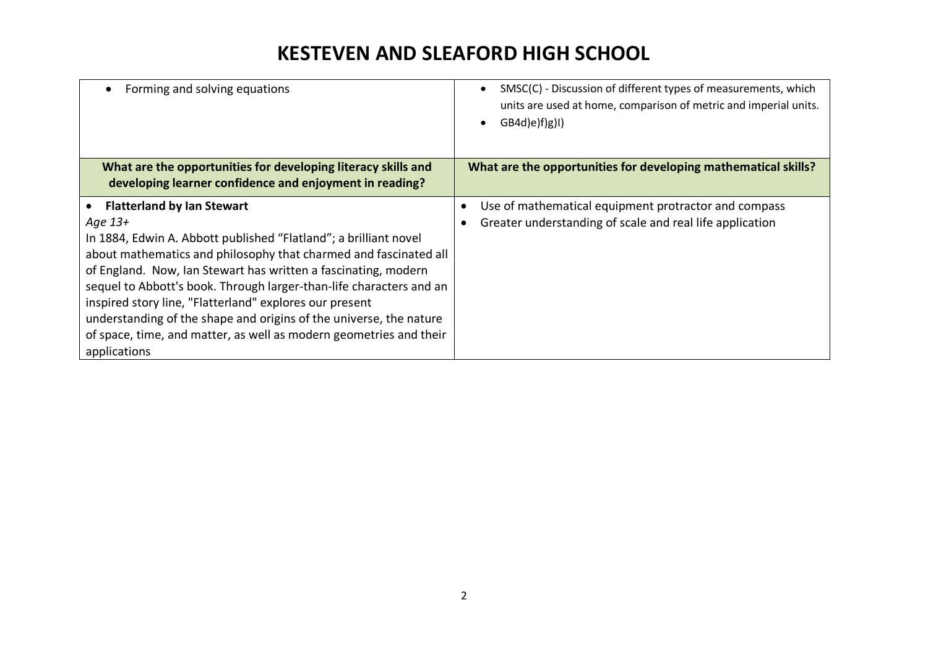| Forming and solving equations                                                                                                                                                                                                                                                                                                                                                                                                                                                                                                                        | SMSC(C) - Discussion of different types of measurements, which<br>units are used at home, comparison of metric and imperial units.<br>(GB4d)e) f)g)1) |
|------------------------------------------------------------------------------------------------------------------------------------------------------------------------------------------------------------------------------------------------------------------------------------------------------------------------------------------------------------------------------------------------------------------------------------------------------------------------------------------------------------------------------------------------------|-------------------------------------------------------------------------------------------------------------------------------------------------------|
| What are the opportunities for developing literacy skills and<br>developing learner confidence and enjoyment in reading?                                                                                                                                                                                                                                                                                                                                                                                                                             | What are the opportunities for developing mathematical skills?                                                                                        |
| <b>Flatterland by Ian Stewart</b><br>Age 13+<br>In 1884, Edwin A. Abbott published "Flatland"; a brilliant novel<br>about mathematics and philosophy that charmed and fascinated all<br>of England. Now, Ian Stewart has written a fascinating, modern<br>sequel to Abbott's book. Through larger-than-life characters and an<br>inspired story line, "Flatterland" explores our present<br>understanding of the shape and origins of the universe, the nature<br>of space, time, and matter, as well as modern geometries and their<br>applications | Use of mathematical equipment protractor and compass<br>Greater understanding of scale and real life application                                      |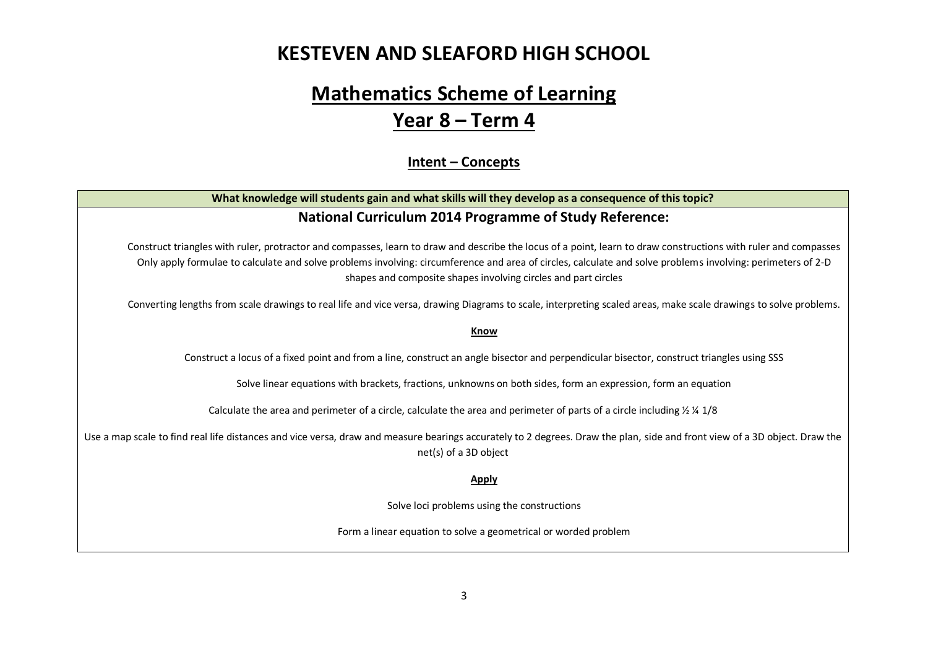## **Mathematics Scheme of Learning Year 8 – Term 4**

#### **Intent – Concepts**

### **What knowledge will students gain and what skills will they develop as a consequence of this topic? National Curriculum 2014 Programme of Study Reference:**

Construct triangles with ruler, protractor and compasses, learn to draw and describe the locus of a point, learn to draw constructions with ruler and compasses Only apply formulae to calculate and solve problems involving: circumference and area of circles, calculate and solve problems involving: perimeters of 2-D shapes and composite shapes involving circles and part circles

Converting lengths from scale drawings to real life and vice versa, drawing Diagrams to scale, interpreting scaled areas, make scale drawings to solve problems.

#### **Know**

Construct a locus of a fixed point and from a line, construct an angle bisector and perpendicular bisector, construct triangles using SSS

Solve linear equations with brackets, fractions, unknowns on both sides, form an expression, form an equation

Calculate the area and perimeter of a circle, calculate the area and perimeter of parts of a circle including  $\frac{1}{2} \frac{1}{4}$  1/8

Use a map scale to find real life distances and vice versa, draw and measure bearings accurately to 2 degrees. Draw the plan, side and front view of a 3D object. Draw the net(s) of a 3D object

#### **Apply**

Solve loci problems using the constructions

Form a linear equation to solve a geometrical or worded problem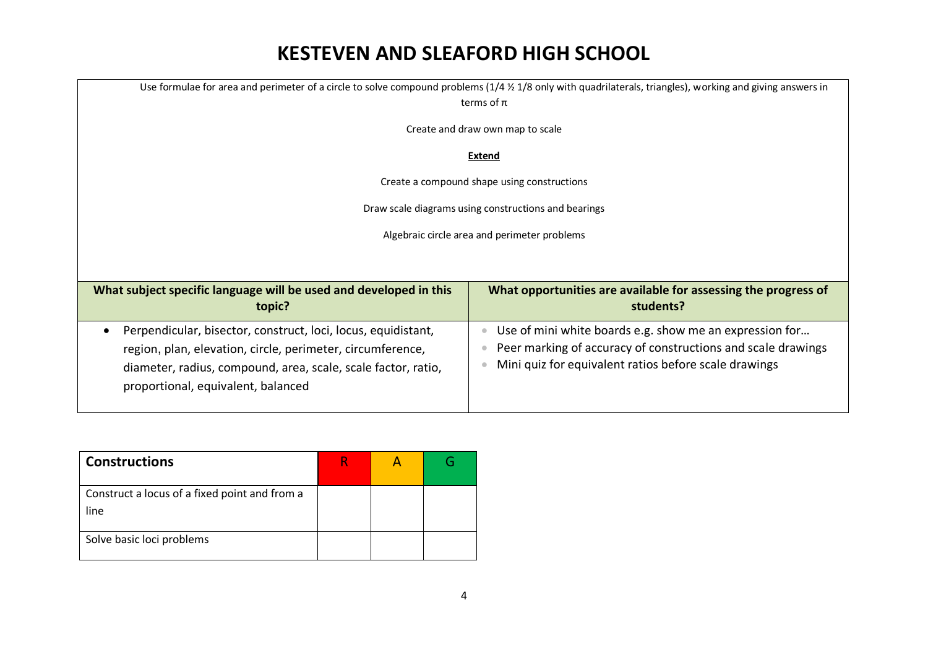| Use formulae for area and perimeter of a circle to solve compound problems $(1/4 \frac{1}{2} 1/8)$ only with quadrilaterals, triangles), working and giving answers in<br>terms of $\pi$                                                        |                                                                                                                                                                                  |  |  |  |
|-------------------------------------------------------------------------------------------------------------------------------------------------------------------------------------------------------------------------------------------------|----------------------------------------------------------------------------------------------------------------------------------------------------------------------------------|--|--|--|
| Create and draw own map to scale                                                                                                                                                                                                                |                                                                                                                                                                                  |  |  |  |
| Extend                                                                                                                                                                                                                                          |                                                                                                                                                                                  |  |  |  |
| Create a compound shape using constructions                                                                                                                                                                                                     |                                                                                                                                                                                  |  |  |  |
| Draw scale diagrams using constructions and bearings                                                                                                                                                                                            |                                                                                                                                                                                  |  |  |  |
| Algebraic circle area and perimeter problems                                                                                                                                                                                                    |                                                                                                                                                                                  |  |  |  |
|                                                                                                                                                                                                                                                 |                                                                                                                                                                                  |  |  |  |
| What subject specific language will be used and developed in this<br>topic?                                                                                                                                                                     | What opportunities are available for assessing the progress of<br>students?                                                                                                      |  |  |  |
| Perpendicular, bisector, construct, loci, locus, equidistant,<br>$\bullet$<br>region, plan, elevation, circle, perimeter, circumference,<br>diameter, radius, compound, area, scale, scale factor, ratio,<br>proportional, equivalent, balanced | Use of mini white boards e.g. show me an expression for<br>Peer marking of accuracy of constructions and scale drawings<br>Mini quiz for equivalent ratios before scale drawings |  |  |  |

| <b>Constructions</b>                                  |  |  |
|-------------------------------------------------------|--|--|
| Construct a locus of a fixed point and from a<br>line |  |  |
| Solve basic loci problems                             |  |  |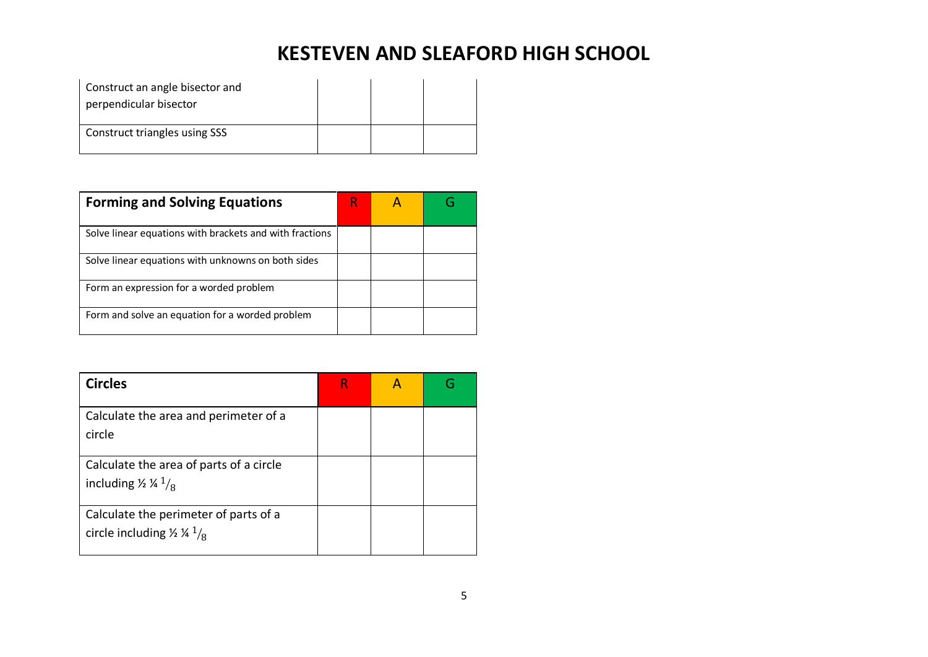| Construct an angle bisector and<br>perpendicular bisector |  |  |
|-----------------------------------------------------------|--|--|
| Construct triangles using SSS                             |  |  |

| <b>Forming and Solving Equations</b>                    | R |  |
|---------------------------------------------------------|---|--|
| Solve linear equations with brackets and with fractions |   |  |
| Solve linear equations with unknowns on both sides      |   |  |
| Form an expression for a worded problem                 |   |  |
| Form and solve an equation for a worded problem         |   |  |

| <b>Circles</b>                                                                        |  |  |
|---------------------------------------------------------------------------------------|--|--|
| Calculate the area and perimeter of a<br>circle                                       |  |  |
| Calculate the area of parts of a circle<br>including $\frac{1}{4}$ $\frac{1}{8}$      |  |  |
| Calculate the perimeter of parts of a<br>circle including $\frac{1}{4}$ $\frac{1}{8}$ |  |  |